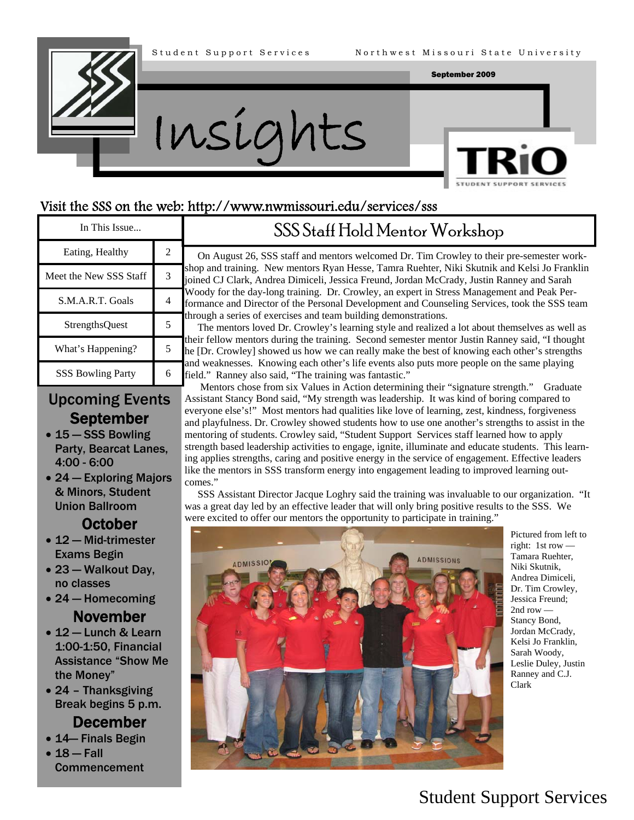



#### Visit the SSS on the web: http://www.nwmissouri.edu/services/sss

| In This Issue            |   | SSS Staff Hold Mentor Workshop                                                                                                                                                                                                                                                                                                                                                                                                                                                                                                                                                                                                                                                                                                                                                                                                                                                                                                                                                                                      |
|--------------------------|---|---------------------------------------------------------------------------------------------------------------------------------------------------------------------------------------------------------------------------------------------------------------------------------------------------------------------------------------------------------------------------------------------------------------------------------------------------------------------------------------------------------------------------------------------------------------------------------------------------------------------------------------------------------------------------------------------------------------------------------------------------------------------------------------------------------------------------------------------------------------------------------------------------------------------------------------------------------------------------------------------------------------------|
| Eating, Healthy          |   | On August 26, SSS staff and mentors welcomed Dr. Tim Crowley to their pre-semester work-<br>shop and training. New mentors Ryan Hesse, Tamra Ruehter, Niki Skutnik and Kelsi Jo Franklin<br>joined CJ Clark, Andrea Dimiceli, Jessica Freund, Jordan McCrady, Justin Ranney and Sarah<br>Woody for the day-long training. Dr. Crowley, an expert in Stress Management and Peak Per-<br>formance and Director of the Personal Development and Counseling Services, took the SSS team<br>through a series of exercises and team building demonstrations.<br>The mentors loved Dr. Crowley's learning style and realized a lot about themselves as well as<br>their fellow mentors during the training. Second semester mentor Justin Ranney said, "I thought<br>he [Dr. Crowley] showed us how we can really make the best of knowing each other's strengths<br>and weaknesses. Knowing each other's life events also puts more people on the same playing<br>field." Ranney also said, "The training was fantastic." |
| Meet the New SSS Staff   |   |                                                                                                                                                                                                                                                                                                                                                                                                                                                                                                                                                                                                                                                                                                                                                                                                                                                                                                                                                                                                                     |
| S.M.A.R.T. Goals         | 4 |                                                                                                                                                                                                                                                                                                                                                                                                                                                                                                                                                                                                                                                                                                                                                                                                                                                                                                                                                                                                                     |
| <b>StrengthsQuest</b>    |   |                                                                                                                                                                                                                                                                                                                                                                                                                                                                                                                                                                                                                                                                                                                                                                                                                                                                                                                                                                                                                     |
| What's Happening?        |   |                                                                                                                                                                                                                                                                                                                                                                                                                                                                                                                                                                                                                                                                                                                                                                                                                                                                                                                                                                                                                     |
| <b>SSS Bowling Party</b> | 6 |                                                                                                                                                                                                                                                                                                                                                                                                                                                                                                                                                                                                                                                                                                                                                                                                                                                                                                                                                                                                                     |

### Upcoming Events September

- 15 SSS Bowling Party, Bearcat Lanes, 4:00 - 6:00
- 24 Exploring Majors & Minors, Student Union Ballroom

#### **October**

- 12 Mid-trimester Exams Begin
- 23 Walkout Day, no classes
- 24 Homecoming November
- 12 Lunch & Learn 1:00-1:50, Financial Assistance "Show Me the Money"
- 24 Thanksgiving Break begins 5 p.m.

#### December

- 14— Finals Begin
- $18 Fall$ Commencement

 Mentors chose from six Values in Action determining their "signature strength." Graduate Assistant Stancy Bond said, "My strength was leadership. It was kind of boring compared to everyone else's!" Most mentors had qualities like love of learning, zest, kindness, forgiveness and playfulness. Dr. Crowley showed students how to use one another's strengths to assist in the mentoring of students. Crowley said, "Student Support Services staff learned how to apply strength based leadership activities to engage, ignite, illuminate and educate students. This learning applies strengths, caring and positive energy in the service of engagement. Effective leaders like the mentors in SSS transform energy into engagement leading to improved learning outcomes."

 SSS Assistant Director Jacque Loghry said the training was invaluable to our organization. "It was a great day led by an effective leader that will only bring positive results to the SSS. We were excited to offer our mentors the opportunity to participate in training."



 Pictured from left to right: 1st row — Tamara Ruehter, Niki Skutnik, Andrea Dimiceli, Dr. Tim Crowley, Jessica Freund; 2nd row — Stancy Bond, Jordan McCrady, Kelsi Jo Franklin, Sarah Woody, Leslie Duley, Justin Ranney and C.J. Clark

## Student Support Services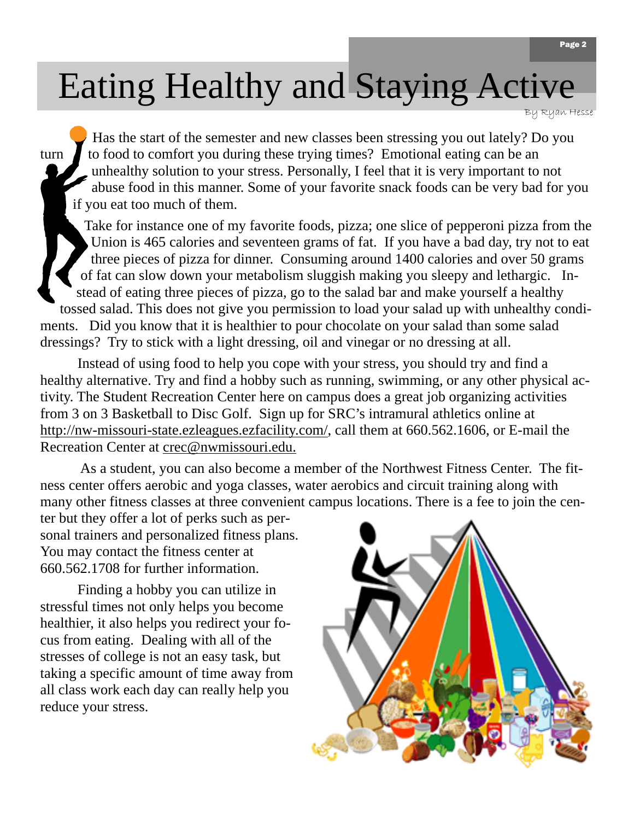# Eating Healthy and Staying Active

By Ryan Hesse

Has the start of the semester and new classes been stressing you out lately? Do you turn  $\blacksquare$  to food to comfort you during these trying times? Emotional eating can be an unhealthy solution to your stress. Personally, I feel that it is very important to not abuse food in this manner. Some of your favorite snack foods can be very bad for you if you eat too much of them.

Take for instance one of my favorite foods, pizza; one slice of pepperoni pizza from the Union is 465 calories and seventeen grams of fat. If you have a bad day, try not to eat three pieces of pizza for dinner. Consuming around 1400 calories and over 50 grams of fat can slow down your metabolism sluggish making you sleepy and lethargic. Instead of eating three pieces of pizza, go to the salad bar and make yourself a healthy tossed salad. This does not give you permission to load your salad up with unhealthy condiments. Did you know that it is healthier to pour chocolate on your salad than some salad dressings? Try to stick with a light dressing, oil and vinegar or no dressing at all.

Instead of using food to help you cope with your stress, you should try and find a healthy alternative. Try and find a hobby such as running, swimming, or any other physical activity. The Student Recreation Center here on campus does a great job organizing activities from 3 on 3 Basketball to Disc Golf. Sign up for SRC's intramural athletics online at <http://nw-missouri-state.ezleagues.ezfacility.com/>, call them at 660.562.1606, or E-mail the Recreation Center at [crec@nwmissouri.edu](mailto:crec@nwmissouri.edu).

 As a student, you can also become a member of the Northwest Fitness Center. The fitness center offers aerobic and yoga classes, water aerobics and circuit training along with many other fitness classes at three convenient campus locations. There is a fee to join the cen-

ter but they offer a lot of perks such as personal trainers and personalized fitness plans. You may contact the fitness center at 660.562.1708 for further information.

Finding a hobby you can utilize in stressful times not only helps you become healthier, it also helps you redirect your focus from eating. Dealing with all of the stresses of college is not an easy task, but taking a specific amount of time away from all class work each day can really help you reduce your stress.

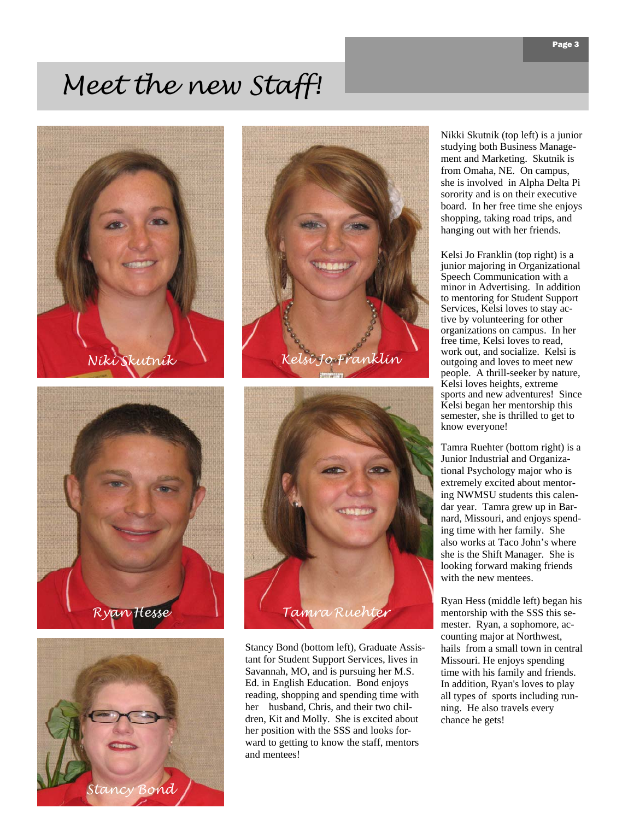## *Meet the new Staff!*











Stancy Bond (bottom left), Graduate Assistant for Student Support Services, lives in Savannah, MO, and is pursuing her M.S. Ed. in English Education. Bond enjoys reading, shopping and spending time with her husband, Chris, and their two children, Kit and Molly. She is excited about her position with the SSS and looks forward to getting to know the staff, mentors and mentees!

Nikki Skutnik (top left) is a junior studying both Business Management and Marketing. Skutnik is from Omaha, NE. On campus, she is involved in Alpha Delta Pi sorority and is on their executive board. In her free time she enjoys shopping, taking road trips, and hanging out with her friends.

Kelsi Jo Franklin (top right) is a junior majoring in Organizational Speech Communication with a minor in Advertising. In addition to mentoring for Student Support Services, Kelsi loves to stay active by volunteering for other organizations on campus. In her free time, Kelsi loves to read, work out, and socialize. Kelsi is outgoing and loves to meet new people. A thrill-seeker by nature, Kelsi loves heights, extreme sports and new adventures! Since Kelsi began her mentorship this semester, she is thrilled to get to know everyone!

Tamra Ruehter (bottom right) is a Junior Industrial and Organizational Psychology major who is extremely excited about mentoring NWMSU students this calendar year. Tamra grew up in Barnard, Missouri, and enjoys spending time with her family. She also works at Taco John's where she is the Shift Manager. She is looking forward making friends with the new mentees.

Ryan Hess (middle left) began his mentorship with the SSS this semester. Ryan, a sophomore, accounting major at Northwest, hails from a small town in central Missouri. He enjoys spending time with his family and friends. In addition, Ryan's loves to play all types of sports including running. He also travels every chance he gets!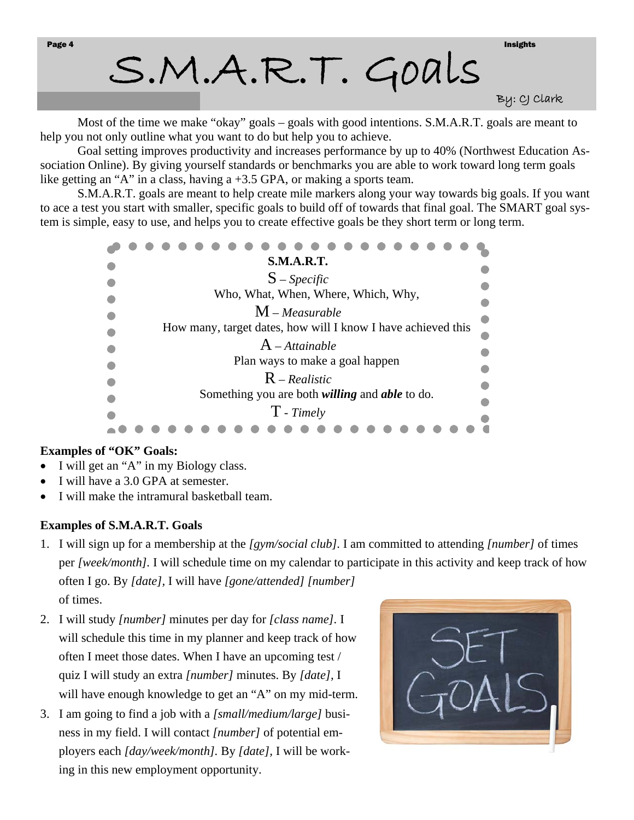S.M.A.R.T. Goals

By: CJ Clark

Most of the time we make "okay" goals – goals with good intentions. S.M.A.R.T. goals are meant to help you not only outline what you want to do but help you to achieve.

 Goal setting improves productivity and increases performance by up to 40% (Northwest Education Association Online). By giving yourself standards or benchmarks you are able to work toward long term goals like getting an "A" in a class, having a +3.5 GPA, or making a sports team.

 S.M.A.R.T. goals are meant to help create mile markers along your way towards big goals. If you want to ace a test you start with smaller, specific goals to build off of towards that final goal. The SMART goal system is simple, easy to use, and helps you to create effective goals be they short term or long term.

| <b>S.M.A.R.T.</b>                                            |  |
|--------------------------------------------------------------|--|
| $S$ – <i>Specific</i>                                        |  |
| Who, What, When, Where, Which, Why,                          |  |
| $M$ – Measurable                                             |  |
| How many, target dates, how will I know I have achieved this |  |
|                                                              |  |
| $A$ – Attainable                                             |  |
| Plan ways to make a goal happen                              |  |
| $R$ – Realistic                                              |  |
| Something you are both <i>willing</i> and <i>able</i> to do. |  |
|                                                              |  |
| $T$ - Timely                                                 |  |
|                                                              |  |

#### **Examples of "OK" Goals:**

- I will get an "A" in my Biology class.
- I will have a 3.0 GPA at semester.
- I will make the intramural basketball team.

#### **Examples of S.M.A.R.T. Goals**

- 1. I will sign up for a membership at the *[gym/social club].* I am committed to attending *[number]* of times per *[week/month].* I will schedule time on my calendar to participate in this activity and keep track of how often I go. By *[date],* I will have *[gone/attended] [number]*  of times.
- 2. I will study *[number]* minutes per day for *[class name].* I will schedule this time in my planner and keep track of how often I meet those dates. When I have an upcoming test / quiz I will study an extra *[number]* minutes. By *[date],* I will have enough knowledge to get an "A" on my mid-term.
- 3. I am going to find a job with a *[small/medium/large]* business in my field. I will contact *[number]* of potential employers each *[day/week/month].* By *[date],* I will be working in this new employment opportunity.

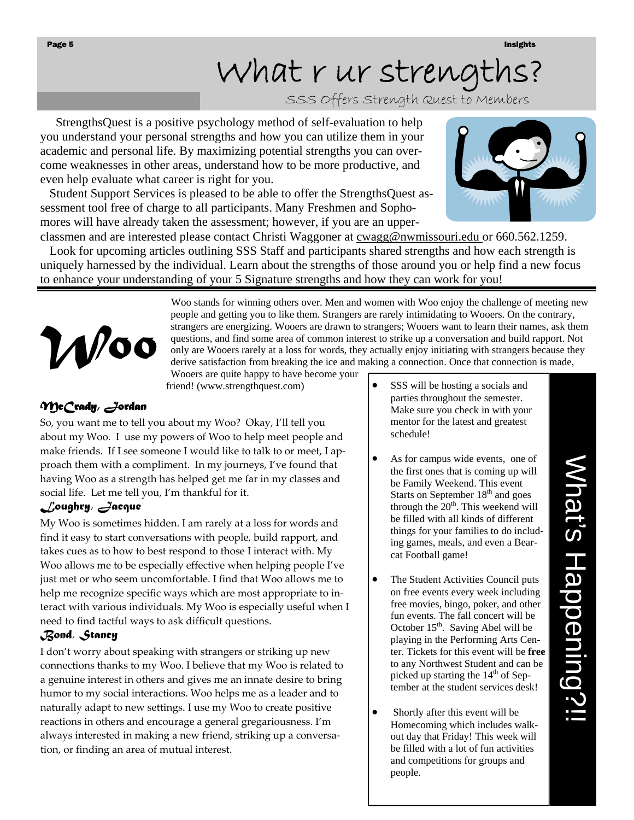# What r ur strength

SSS Offers Strength Quest to Members

 StrengthsQuest is a positive psychology method of self-evaluation to help you understand your personal strengths and how you can utilize them in your academic and personal life. By maximizing potential strengths you can overcome weaknesses in other areas, understand how to be more productive, and even help evaluate what career is right for you.

 Student Support Services is pleased to be able to offer the StrengthsQuest assessment tool free of charge to all participants. Many Freshmen and Sophomores will have already taken the assessment; however, if you are an upper-



classmen and are interested please contact Christi Waggoner at cwagg@nwmissouri.edu or 660.562.1259. Look for upcoming articles outlining SSS Staff and participants shared strengths and how each strength is uniquely harnessed by the individual. Learn about the strengths of those around you or help find a new focus to enhance your understanding of your 5 Signature strengths and how they can work for you!

*Woo* 

 Woo stands for winning others over. Men and women with Woo enjoy the challenge of meeting new people and getting you to like them. Strangers are rarely intimidating to Wooers. On the contrary, strangers are energizing. Wooers are drawn to strangers; Wooers want to learn their names, ask them questions, and find some area of common interest to strike up a conversation and build rapport. Not only are Wooers rarely at a loss for words, they actually enjoy initiating with strangers because they derive satisfaction from breaking the ice and making a connection. Once that connection is made,

Wooers are quite happy to have become your friend! (www.strengthquest.com)

#### *McCrady, Jordan*

So, you want me to tell you about my Woo? Okay, I'll tell you about my Woo. I use my powers of Woo to help meet people and make friends. If I see someone I would like to talk to or meet, I approach them with a compliment. In my journeys, I've found that having Woo as a strength has helped get me far in my classes and social life. Let me tell you, I'm thankful for it.

#### *Loughry, Jacque*

My Woo is sometimes hidden. I am rarely at a loss for words and find it easy to start conversations with people, build rapport, and takes cues as to how to best respond to those I interact with. My Woo allows me to be especially effective when helping people I've just met or who seem uncomfortable. I find that Woo allows me to help me recognize specific ways which are most appropriate to interact with various individuals. My Woo is especially useful when I need to find tactful ways to ask difficult questions.

#### *Bond, Stancy*

I don't worry about speaking with strangers or striking up new connections thanks to my Woo. I believe that my Woo is related to a genuine interest in others and gives me an innate desire to bring humor to my social interactions. Woo helps me as a leader and to naturally adapt to new settings. I use my Woo to create positive reactions in others and encourage a general gregariousness. I'm always interested in making a new friend, striking up a conversa‐ tion, or finding an area of mutual interest.

- SSS will be hosting a socials and parties throughout the semester. Make sure you check in with your mentor for the latest and greatest schedule!
- As for campus wide events, one of the first ones that is coming up will be Family Weekend. This event Starts on September 18<sup>th</sup> and goes through the  $20<sup>th</sup>$ . This weekend will be filled with all kinds of different things for your families to do including games, meals, and even a Bearcat Football game!
- The Student Activities Council puts on free events every week including free movies, bingo, poker, and other fun events. The fall concert will be October  $15<sup>th</sup>$ . Saving Abel will be playing in the Performing Arts Center. Tickets for this event will be **free**  to any Northwest Student and can be picked up starting the  $14<sup>th</sup>$  of September at the student services desk!
- Shortly after this event will be Homecoming which includes walkout day that Friday! This week will be filled with a lot of fun activities and competitions for groups and people.

# What's Happening?!! What's Happening?!!